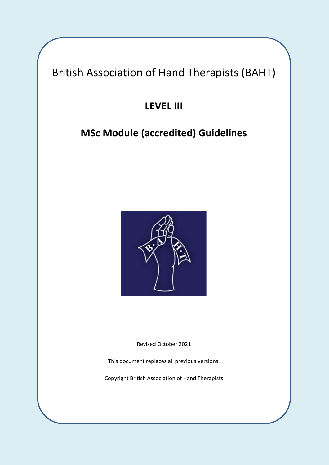British Association of Hand Therapists (BAHT)

# **LEVEL III**

# **MSc Module (accredited) Guidelines**



Revised October 2021

This document replaces all previous versions.

Copyright British Association of Hand Therapists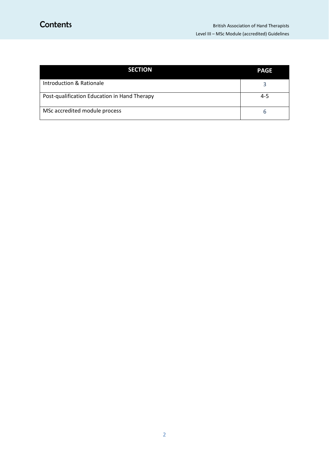| <b>SECTION</b>                               | <b>PAGE</b> |
|----------------------------------------------|-------------|
| <b>Introduction &amp; Rationale</b>          |             |
| Post-qualification Education in Hand Therapy | $4 - 5$     |
| MSc accredited module process                |             |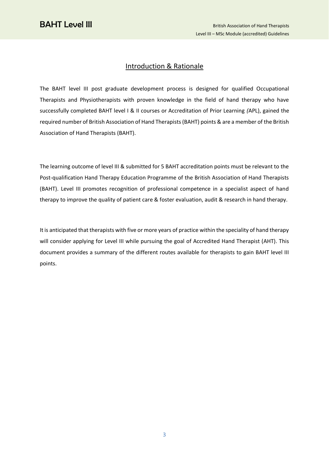## Introduction & Rationale

The BAHT level III post graduate development process is designed for qualified Occupational Therapists and Physiotherapists with proven knowledge in the field of hand therapy who have successfully completed BAHT level I & II courses or Accreditation of Prior Learning *(*APL), gained the required number of British Association of Hand Therapists (BAHT) points & are a member of the British Association of Hand Therapists (BAHT).

The learning outcome of level III & submitted for 5 BAHT accreditation points must be relevant to the Post-qualification Hand Therapy Education Programme of the British Association of Hand Therapists (BAHT). Level III promotes recognition of professional competence in a specialist aspect of hand therapy to improve the quality of patient care & foster evaluation, audit & research in hand therapy.

It is anticipated that therapists with five or more years of practice within the speciality of hand therapy will consider applying for Level III while pursuing the goal of Accredited Hand Therapist (AHT). This document provides a summary of the different routes available for therapists to gain BAHT level III points.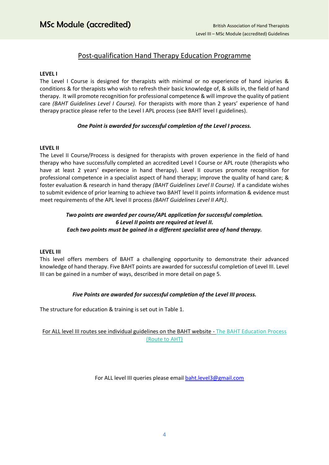# Post-qualification Hand Therapy Education Programme

#### **LEVEL I**

The Level I Course is designed for therapists with minimal or no experience of hand injuries & conditions & for therapists who wish to refresh their basic knowledge of, & skills in, the field of hand therapy. It will promote recognition for professional competence & will improve the quality of patient care *(BAHT Guidelines Level I Course).* For therapists with more than 2 years' experience of hand therapy practice please refer to the Level I APL process (see BAHT level I guidelines).

#### *One Point is awarded for successful completion of the Level I process.*

#### **LEVEL II**

The Level II Course/Process is designed for therapists with proven experience in the field of hand therapy who have successfully completed an accredited Level I Course or APL route (therapists who have at least 2 years' experience in hand therapy). Level II courses promote recognition for professional competence in a specialist aspect of hand therapy; improve the quality of hand care; & foster evaluation & research in hand therapy *(BAHT Guidelines Level II Course).* If a candidate wishes to submit evidence of prior learning to achieve two BAHT level II points information & evidence must meet requirements of the APL level II process *(BAHT Guidelines Level II APL)*.

#### *Two points are awarded per course/APL application for successful completion. 6 Level II points are required at level II. Each two points must be gained in a different specialist area of hand therapy.*

#### **LEVEL III**

This level offers members of BAHT a challenging opportunity to demonstrate their advanced knowledge of hand therapy. Five BAHT points are awarded for successful completion of Level III. Level III can be gained in a number of ways, described in more detail on page 5.

#### *Five Points are awarded for successful completion of the Level III process.*

The structure for education & training is set out in Table 1.

#### For ALL level III routes see individual guidelines on the BAHT website - The BAHT Education Process (Route to AHT)

For ALL level III queries please email [baht.level3@gmail.com](mailto:baht.level3@gmail.com)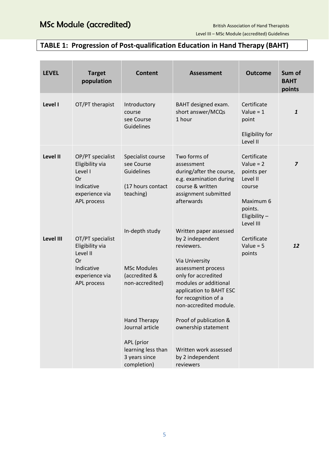# **TABLE 1: Progression of Post-qualification Education in Hand Therapy (BAHT)**

| <b>LEVEL</b> | <b>Target</b><br>population                                                                          | <b>Content</b>                                                                                                                                                                         | <b>Assessment</b>                                                                                                                                                                                                                                                                                                                        | <b>Outcome</b>                                                                                                      | Sum of<br><b>BAHT</b><br>points |
|--------------|------------------------------------------------------------------------------------------------------|----------------------------------------------------------------------------------------------------------------------------------------------------------------------------------------|------------------------------------------------------------------------------------------------------------------------------------------------------------------------------------------------------------------------------------------------------------------------------------------------------------------------------------------|---------------------------------------------------------------------------------------------------------------------|---------------------------------|
| Level I      | OT/PT therapist                                                                                      | Introductory<br>course<br>see Course<br>Guidelines                                                                                                                                     | BAHT designed exam.<br>short answer/MCQs<br>1 hour                                                                                                                                                                                                                                                                                       | Certificate<br>Value = $1$<br>point<br>Eligibility for<br>Level II                                                  | $\mathbf{1}$                    |
| Level II     | OP/PT specialist<br>Eligibility via<br>Level I<br>Or<br>Indicative<br>experience via<br>APL process  | Specialist course<br>see Course<br>Guidelines<br>(17 hours contact<br>teaching)                                                                                                        | Two forms of<br>assessment<br>during/after the course,<br>e.g. examination during<br>course & written<br>assignment submitted<br>afterwards                                                                                                                                                                                              | Certificate<br>Value = $2$<br>points per<br>Level II<br>course<br>Maximum 6<br>points.<br>Eligibility-<br>Level III | $\overline{\mathbf{z}}$         |
| Level III    | OT/PT specialist<br>Eligibility via<br>Level II<br>Or<br>Indicative<br>experience via<br>APL process | In-depth study<br><b>MSc Modules</b><br>(accredited &<br>non-accredited)<br><b>Hand Therapy</b><br>Journal article<br>APL (prior<br>learning less than<br>3 years since<br>completion) | Written paper assessed<br>by 2 independent<br>reviewers.<br>Via University<br>assessment process<br>only for accredited<br>modules or additional<br>application to BAHT ESC<br>for recognition of a<br>non-accredited module.<br>Proof of publication &<br>ownership statement<br>Written work assessed<br>by 2 independent<br>reviewers | Certificate<br>Value = $5$<br>points                                                                                | 12                              |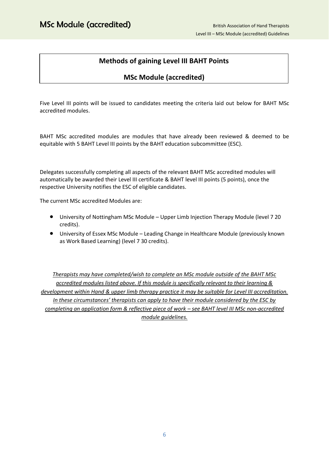# **Methods of gaining Level III BAHT Points**

### **MSc Module (accredited)**

Five Level III points will be issued to candidates meeting the criteria laid out below for BAHT MSc accredited modules.

BAHT MSc accredited modules are modules that have already been reviewed & deemed to be equitable with 5 BAHT Level III points by the BAHT education subcommittee (ESC).

Delegates successfully completing all aspects of the relevant BAHT MSc accredited modules will automatically be awarded their Level III certificate & BAHT level III points (5 points), once the respective University notifies the ESC of eligible candidates.

The current MSc accredited Modules are:

- University of Nottingham MSc Module Upper Limb Injection Therapy Module (level 7 20 credits).
- University of Essex MSc Module Leading Change in Healthcare Module (previously known as Work Based Learning) (level 7 30 credits).

*Therapists may have completed/wish to complete an MSc module outside of the BAHT MSc accredited modules listed above. If this module is specifically relevant to their learning & development within Hand & upper limb therapy practice it may be suitable for Level III accreditation. In these circumstances' therapists can apply to have their module considered by the ESC by completing an application form & reflective piece of work – see BAHT level III MSc non-accredited module guidelines.*